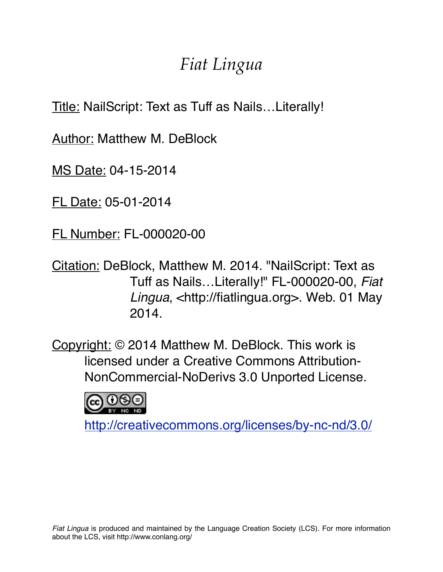## *Fiat Lingua*

Title: NailScript: Text as Tuff as Nails…Literally!

Author: Matthew M. DeBlock

MS Date: 04-15-2014

FL Date: 05-01-2014

FL Number: FL-000020-00

Citation: DeBlock, Matthew M. 2014. "NailScript: Text as Tuff as Nails…Literally!" FL-000020-00, *Fiat Lingua*, <http://fiatlingua.org>. Web. 01 May 2014.

Copyright: © 2014 Matthew M. DeBlock. This work is licensed under a Creative Commons Attribution-NonCommercial-NoDerivs 3.0 Unported License.



<http://creativecommons.org/licenses/by-nc-nd/3.0/>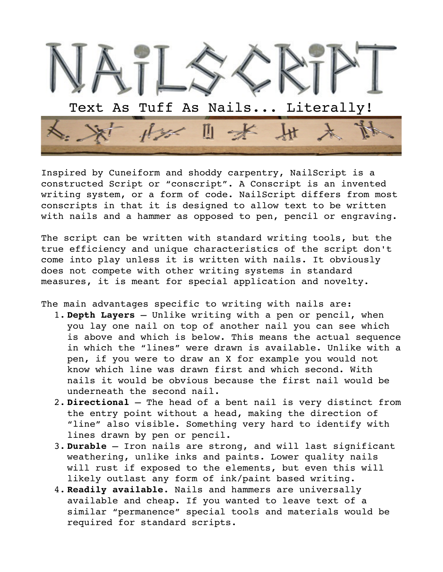

Inspired by Cuneiform and shoddy carpentry, NailScript is a constructed Script or "conscript". A Conscript is an invented writing system, or a form of code. NailScript differs from most conscripts in that it is designed to allow text to be written with nails and a hammer as opposed to pen, pencil or engraving.

The script can be written with standard writing tools, but the true efficiency and unique characteristics of the script don't come into play unless it is written with nails. It obviously does not compete with other writing systems in standard measures, it is meant for special application and novelty.

The main advantages specific to writing with nails are:

- 1. **Depth Layers** Unlike writing with a pen or pencil, when you lay one nail on top of another nail you can see which is above and which is below. This means the actual sequence in which the "lines" were drawn is available. Unlike with a pen, if you were to draw an X for example you would not know which line was drawn first and which second. With nails it would be obvious because the first nail would be underneath the second nail.
- 2. **Directional** The head of a bent nail is very distinct from the entry point without a head, making the direction of "line" also visible. Something very hard to identify with lines drawn by pen or pencil.
- 3. **Durable** Iron nails are strong, and will last significant weathering, unlike inks and paints. Lower quality nails will rust if exposed to the elements, but even this will likely outlast any form of ink/paint based writing.
- 4. **Readily available**. Nails and hammers are universally available and cheap. If you wanted to leave text of a similar "permanence" special tools and materials would be required for standard scripts.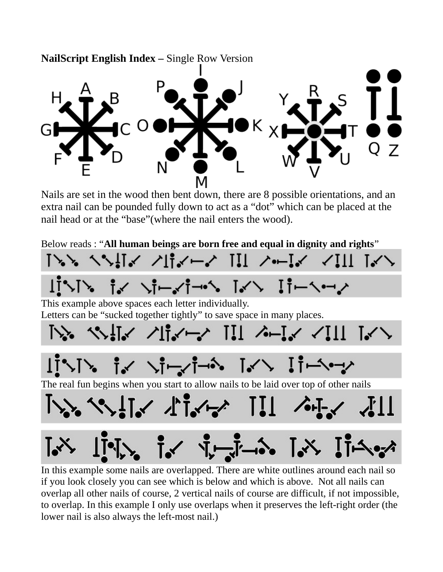

げっけっ キィーソースキー・シートン エキーヘーン This example above spaces each letter individually. Letters can be "sucked together tightly" to save space in many places. トト, ヘヘ!i、 ノli、ー、 !!! ヘー!、 、!!! i、ヽ **ゴント・・・ ソープー・・ レイン ゴーシーン** The real fun begins when you start to allow nails to be laid over top of other nails **VA YALLY ALAMA III ALAMA**  $\iint_{\mathbb{R}} \mathbf{1}_{\mathcal{N}_0} \mathbf{1}_{\mathcal{N}_1} \mathbf{1}_{\mathcal{N}_2} \mathbf{1}_{\mathcal{N}_1} \mathbf{1}_{\mathcal{N}_2} \mathbf{1}_{\mathcal{N}_2} \mathbf{1}_{\mathcal{N}_1} \mathbf{1}_{\mathcal{N}_2} \mathbf{1}_{\mathcal{N}_2}$ 

In this example some nails are overlapped. There are white outlines around each nail so if you look closely you can see which is below and which is above. Not all nails can overlap all other nails of course, 2 vertical nails of course are difficult, if not impossible, to overlap. In this example I only use overlaps when it preserves the left-right order (the lower nail is also always the left-most nail.)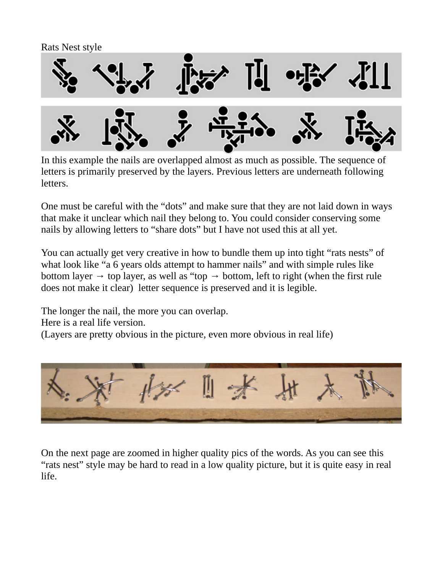Rats Nest style



In this example the nails are overlapped almost as much as possible. The sequence of letters is primarily preserved by the layers. Previous letters are underneath following letters.

One must be careful with the "dots" and make sure that they are not laid down in ways that make it unclear which nail they belong to. You could consider conserving some nails by allowing letters to "share dots" but I have not used this at all yet.

You can actually get very creative in how to bundle them up into tight "rats nests" of what look like "a 6 years olds attempt to hammer nails" and with simple rules like bottom layer  $\rightarrow$  top layer, as well as "top  $\rightarrow$  bottom, left to right (when the first rule does not make it clear) letter sequence is preserved and it is legible.

The longer the nail, the more you can overlap.

Here is a real life version.

(Layers are pretty obvious in the picture, even more obvious in real life)



On the next page are zoomed in higher quality pics of the words. As you can see this "rats nest" style may be hard to read in a low quality picture, but it is quite easy in real life.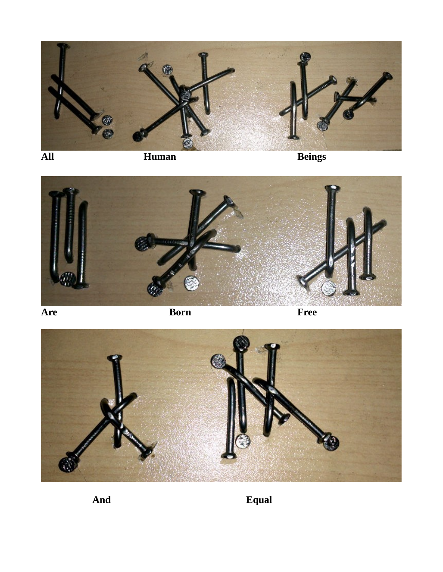



**Are Born Free**



**And Equal**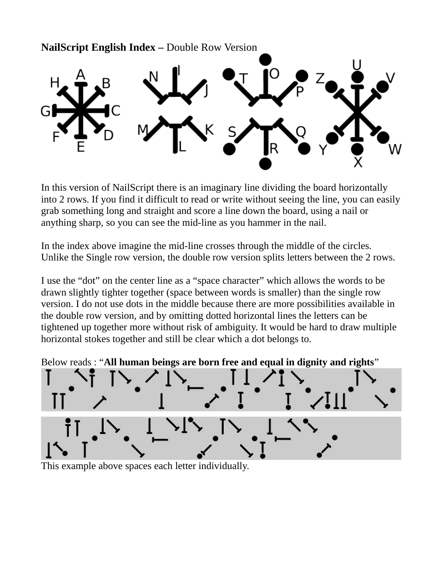**NailScript English Index –** Double Row Version

In this version of NailScript there is an imaginary line dividing the board horizontally into 2 rows. If you find it difficult to read or write without seeing the line, you can easily grab something long and straight and score a line down the board, using a nail or anything sharp, so you can see the mid-line as you hammer in the nail.

In the index above imagine the mid-line crosses through the middle of the circles. Unlike the Single row version, the double row version splits letters between the 2 rows.

I use the "dot" on the center line as a "space character" which allows the words to be drawn slightly tighter together (space between words is smaller) than the single row version. I do not use dots in the middle because there are more possibilities available in the double row version, and by omitting dotted horizontal lines the letters can be tightened up together more without risk of ambiguity. It would be hard to draw multiple horizontal stokes together and still be clear which a dot belongs to.

Below reads : "**All human beings are born free and equal in dignity and rights**"



This example above spaces each letter individually.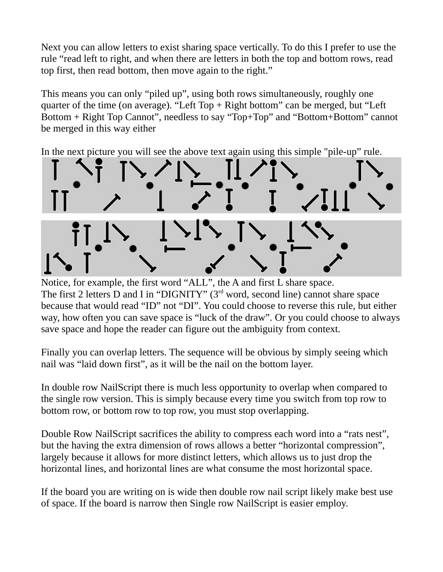Next you can allow letters to exist sharing space vertically. To do this I prefer to use the rule "read left to right, and when there are letters in both the top and bottom rows, read top first, then read bottom, then move again to the right."

This means you can only "piled up", using both rows simultaneously, roughly one quarter of the time (on average). "Left Top + Right bottom" can be merged, but "Left Bottom + Right Top Cannot", needless to say "Top+Top" and "Bottom+Bottom" cannot be merged in this way either

In the next picture you will see the above text again using this simple "pile-up" rule.



Notice, for example, the first word "ALL", the A and first L share space. The first 2 letters D and I in "DIGNITY" (3rd word, second line) cannot share space because that would read "ID" not "DI". You could choose to reverse this rule, but either way, how often you can save space is "luck of the draw". Or you could choose to always save space and hope the reader can figure out the ambiguity from context.

Finally you can overlap letters. The sequence will be obvious by simply seeing which nail was "laid down first", as it will be the nail on the bottom layer.

In double row NailScript there is much less opportunity to overlap when compared to the single row version. This is simply because every time you switch from top row to bottom row, or bottom row to top row, you must stop overlapping.

Double Row NailScript sacrifices the ability to compress each word into a "rats nest", but the having the extra dimension of rows allows a better "horizontal compression", largely because it allows for more distinct letters, which allows us to just drop the horizontal lines, and horizontal lines are what consume the most horizontal space.

If the board you are writing on is wide then double row nail script likely make best use of space. If the board is narrow then Single row NailScript is easier employ.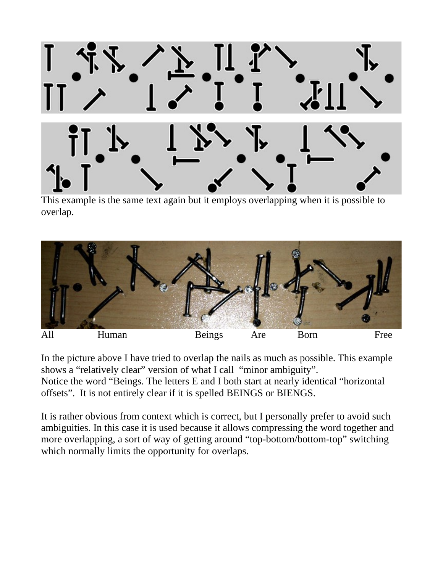

This example is the same text again but it employs overlapping when it is possible to overlap.



In the picture above I have tried to overlap the nails as much as possible. This example shows a "relatively clear" version of what I call "minor ambiguity". Notice the word "Beings. The letters E and I both start at nearly identical "horizontal offsets". It is not entirely clear if it is spelled BEINGS or BIENGS.

It is rather obvious from context which is correct, but I personally prefer to avoid such ambiguities. In this case it is used because it allows compressing the word together and more overlapping, a sort of way of getting around "top-bottom/bottom-top" switching which normally limits the opportunity for overlaps.